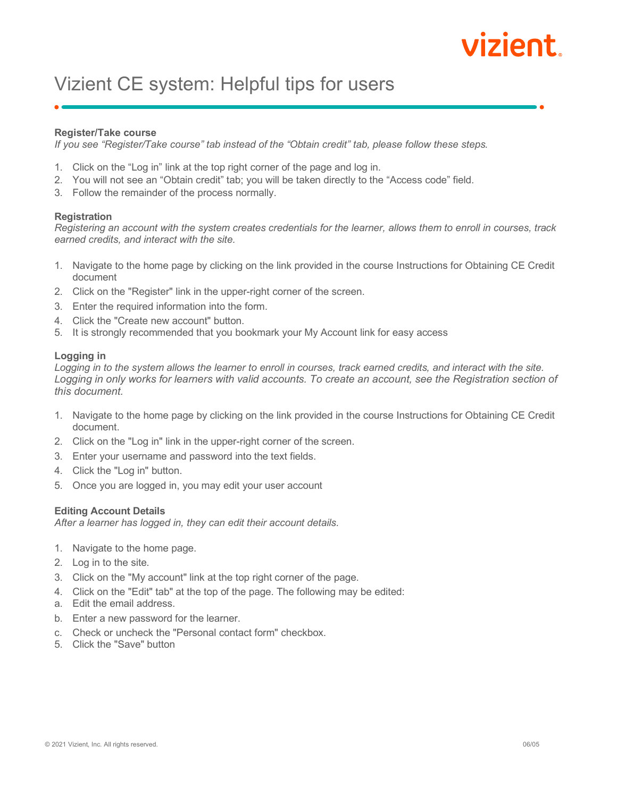# izient

# Vizient CE system: Helpful tips for users

#### **Register/Take course**

*If you see "Register/Take course" tab instead of the "Obtain credit" tab, please follow these steps.*

- 1. Click on the "Log in" link at the top right corner of the page and log in.
- 2. You will not see an "Obtain credit" tab; you will be taken directly to the "Access code" field.
- 3. Follow the remainder of the process normally.

## **Registration**

*Registering an account with the system creates credentials for the learner, allows them to enroll in courses, track earned credits, and interact with the site.*

- 1. Navigate to the home page by clicking on the link provided in the course Instructions for Obtaining CE Credit document
- 2. Click on the "Register" link in the upper-right corner of the screen.
- 3. Enter the required information into the form.
- 4. Click the "Create new account" button.
- 5. It is strongly recommended that you bookmark your My Account link for easy access

#### **Logging in**

*Logging in to the system allows the learner to enroll in courses, track earned credits, and interact with the site.*  Logging in only works for learners with valid accounts. To create an account, see the Registration section of *this document.* 

- 1. Navigate to the home page by clicking on the link provided in the course Instructions for Obtaining CE Credit document.
- 2. Click on the "Log in" link in the upper-right corner of the screen.
- 3. Enter your username and password into the text fields.
- 4. Click the "Log in" button.
- 5. Once you are logged in, you may edit your user account

# **Editing Account Details**

*After a learner has logged in, they can edit their account details.*

- 1. Navigate to the home page.
- 2. Log in to the site.
- 3. Click on the "My account" link at the top right corner of the page.
- 4. Click on the "Edit" tab" at the top of the page. The following may be edited:
- a. Edit the email address.
- b. Enter a new password for the learner.
- c. Check or uncheck the "Personal contact form" checkbox.
- 5. Click the "Save" button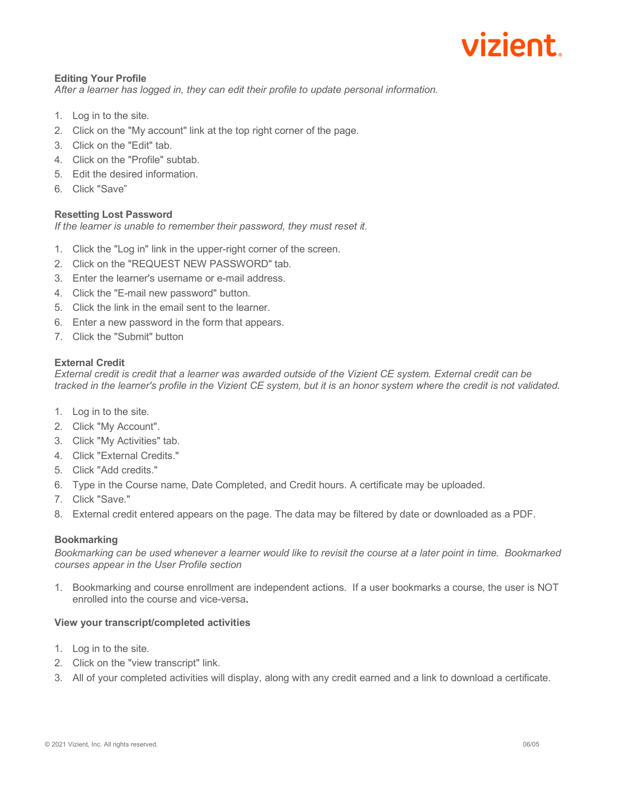

# **Editing Your Profile**

*After a learner has logged in, they can edit their profile to update personal information.*

- 1. Log in to the site.
- 2. Click on the "My account" link at the top right corner of the page.
- 3. Click on the "Edit" tab.
- 4. Click on the "Profile" subtab.
- 5. Edit the desired information.
- 6. Click "Save"

# **Resetting Lost Password**

*If the learner is unable to remember their password, they must reset it.*

- 1. Click the "Log in" link in the upper-right corner of the screen.
- 2. Click on the "REQUEST NEW PASSWORD" tab.
- 3. Enter the learner's username or e-mail address.
- 4. Click the "E-mail new password" button.
- 5. Click the link in the email sent to the learner.
- 6. Enter a new password in the form that appears.
- 7. Click the "Submit" button

## **External Credit**

*External credit is credit that a learner was awarded outside of the Vizient CE system. External credit can be tracked in the learner's profile in the Vizient CE system, but it is an honor system where the credit is not validated.*

- 1. Log in to the site.
- 2. Click "My Account".
- 3. Click "My Activities" tab.
- 4. Click "External Credits."
- 5. Click "Add credits."
- 6. Type in the Course name, Date Completed, and Credit hours. A certificate may be uploaded.
- 7. Click "Save."
- 8. External credit entered appears on the page. The data may be filtered by date or downloaded as a PDF.

# **Bookmarking**

*Bookmarking can be used whenever a learner would like to revisit the course at a later point in time. Bookmarked courses appear in the User Profile section*

1. Bookmarking and course enrollment are independent actions. If a user bookmarks a course, the user is NOT enrolled into the course and vice-versa**.**

#### **View your transcript/completed activities**

- 1. Log in to the site.
- 2. Click on the "view transcript" link.
- 3. All of your completed activities will display, along with any credit earned and a link to download a certificate.